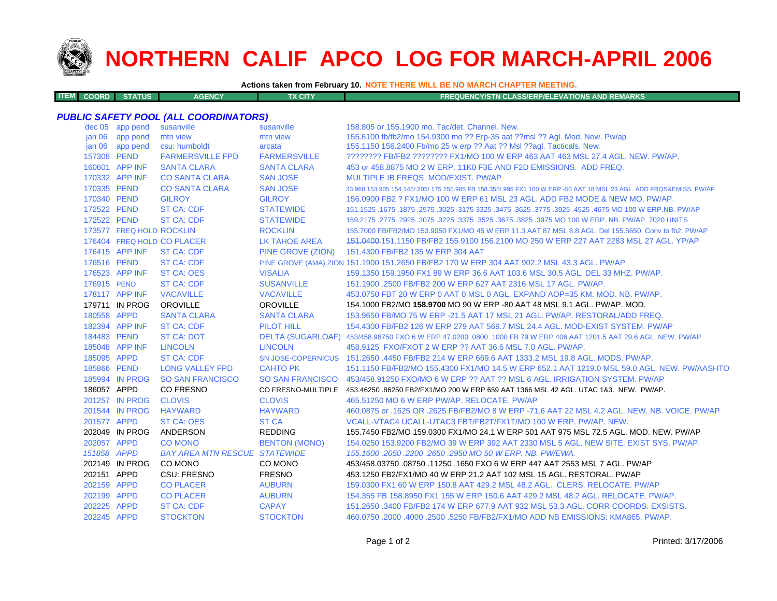

**ITEM**

# **NORTHERN CALIF APCO LOG FOR MARCH-APRIL 2006**

**Actions taken from February 10. NOTE THERE WILL BE NO MARCH CHAPTER MEETING.**

| <b>M COORD STATUS</b><br><b>FX CITY</b><br><b>AGENCY</b><br><b>FREQUENCY/STN CLASS/ERP/ELEVATIONS AND REMARKS</b> |  |
|-------------------------------------------------------------------------------------------------------------------|--|
|-------------------------------------------------------------------------------------------------------------------|--|

### *PUBLIC SAFETY POOL (ALL COORDINATORS)*

|                   | dec 05 app pend          | susanville                           | susanville           | 158.805 or 155.1900 mo. Tac/det. Channel. New.                                                                      |
|-------------------|--------------------------|--------------------------------------|----------------------|---------------------------------------------------------------------------------------------------------------------|
| jan 06            | app pend                 | mtn view                             | mtn view             | 155.6100 fb/fb2/mo 154.9300 mo ?? Erp-35 aat ??msl ?? Agl. Mod. New. Pw/ap                                          |
| jan <sub>06</sub> | app pend                 | csu: humboldt                        | arcata               | 155.1150 156.2400 Fb/mo 25 w erp ?? Aat ?? Msl ??aql. Tacticals. New.                                               |
| 157308 PEND       |                          | <b>FARMERSVILLE FPD</b>              | <b>FARMERSVILLE</b>  | ???????? FB/FB2 ???????? FX1/MO 100 W ERP 463 AAT 463 MSL 27.4 AGL, NEW, PW/AP,                                     |
|                   | 160601 APP INF           | <b>SANTA CLARA</b>                   | <b>SANTA CLARA</b>   | 453 or 458,8875 MO 2 W ERP, 11K0 F3E AND F2D EMISSIONS. ADD FREQ.                                                   |
|                   | 170332 APP INF           | <b>CO SANTA CLARA</b>                | <b>SAN JOSE</b>      | MULTIPLE IB FREQS, MOD/EXIST, PW/AP                                                                                 |
| 170335 PEND       |                          | <b>CO SANTA CLARA</b>                | <b>SAN JOSE</b>      | 33.960 153.905 154.145/.205/.175 155.985 FB 158.355/.995 FX1 100 W ERP -50 AAT 18 MSL 23 AGL. ADD FRQS&EMISS, PW/AP |
| 170340 PEND       |                          | <b>GILROY</b>                        | <b>GILROY</b>        | 156,0900 FB2 ? FX1/MO 100 W ERP 61 MSL 23 AGL, ADD FB2 MODE & NEW MO, PW/AP.                                        |
| 172522 PEND       |                          | <b>ST CA: CDF</b>                    | <b>STATEWIDE</b>     | 151.1525 .1675 MO 100 W ERP.NB. PW/AP .2575 .3625 .3475 .3625 .3475 .3625 .3175 .3025 .1675 .1675 .1675 .1675       |
| 172522 PEND       |                          | <b>ST CA: CDF</b>                    | <b>STATEWIDE</b>     | 159.2175 .2775 .2925 .3075 .3225 .3375 .3525 .3675 .3825 .3975 MO 100 W ERP. NB. PW/AP. 7020 UNITS                  |
|                   | 173577 FREQ HOLD ROCKLIN |                                      | <b>ROCKLIN</b>       | 155.7000 FB/FB2/MO 153.9050 FX1/MO 45 W ERP 11.3 AAT 87 MSL 8.8 AGL. Del 155.5650. Conv to fb2. PW/AP               |
|                   |                          | 176404 FREQ HOLD CO PLACER           | <b>LK TAHOE AREA</b> | 151.0400-151.1150 FB/FB2 155.9100 156.2100 MO 250 W ERP 227 AAT 2283 MSL 27 AGL. YP/AP                              |
|                   | 176415 APP INF           | <b>ST CA: CDF</b>                    | PINE GROVE (ZION)    | 151.4300 FB/FB2 135 W ERP 304 AAT                                                                                   |
| 176516 PEND       |                          | <b>ST CA: CDF</b>                    |                      | PINE GROVE (AMA) ZION 151.1900 151.2650 FB/FB2 170 W ERP 304 AAT 902.2 MSL 43.3 AGL. PW/AP                          |
|                   | 176523 APP INF           | <b>ST CA: OES</b>                    | <b>VISALIA</b>       | 159.1350 159.1950 FX1 89 W ERP 36.6 AAT 103.6 MSL 30.5 AGL. DEL 33 MHZ. PW/AP.                                      |
| 176915 PEND       |                          | <b>ST CA: CDF</b>                    | <b>SUSANVILLE</b>    | 151.1900 .2500 FB/FB2 200 W ERP 627 AAT 2316 MSL 17 AGL, PW/AP.                                                     |
|                   | 178117 APP INF           | <b>VACAVILLE</b>                     | <b>VACAVILLE</b>     | 453.0750 FBT 20 W ERP 0 AAT 0 MSL 0 AGL, EXPAND AOP=35 KM, MOD, NB, PW/AP,                                          |
|                   | 179711 IN PROG           | <b>OROVILLE</b>                      | <b>OROVILLE</b>      | 154.1000 FB2/MO 158.9700 MO 90 W ERP -80 AAT 48 MSL 9.1 AGL. PW/AP. MOD.                                            |
| 180558 APPD       |                          | <b>SANTA CLARA</b>                   | <b>SANTA CLARA</b>   | 153,9650 FB/MO 75 W ERP -21.5 AAT 17 MSL 21 AGL, PW/AP, RESTORAL/ADD FREQ.                                          |
|                   | 182394 APP INF           | <b>ST CA: CDF</b>                    | <b>PILOT HILL</b>    | 154,4300 FB/FB2 126 W ERP 279 AAT 569.7 MSL 24.4 AGL, MOD-EXIST SYSTEM, PW/AP                                       |
| 184483 PEND       |                          | <b>ST CA: DOT</b>                    |                      | DELTA (SUGARLOAF) 453/458.98750 FXO 6 W ERP 47.0200 .0800 .1000 FB 79 W ERP 406 AAT 1201.5 AAT 29.6 AGL. NEW. PW/AP |
|                   | 185048 APP INF           | <b>LINCOLN</b>                       | <b>LINCOLN</b>       | 458.9125 FXO/FXOT 2 W ERP ?? AAT 36.6 MSL 7.0 AGL, PW/AP.                                                           |
| 185095 APPD       |                          | <b>ST CA: CDF</b>                    |                      | SN JOSE-COPERNICUS 151.2650 .4450 FB/FB2 214 W ERP 669.6 AAT 1333.2 MSL 19.8 AGL. MODS. PW/AP.                      |
| 185866 PEND       |                          | <b>LONG VALLEY FPD</b>               | <b>CAHTO PK</b>      | 151.1150 FB/FB2/MO 155.4300 FX1/MO 14.5 W ERP 652.1 AAT 1219.0 MSL 59.0 AGL. NEW. PW/AASHTO                         |
|                   | 185994 IN PROG           | <b>SO SAN FRANCISCO</b>              |                      | SO SAN FRANCISCO 453/458.91250 FXO/MO 6 W ERP ?? AAT ?? MSL 6 AGL. IRRIGATION SYSTEM. PW/AP                         |
| 186057 APPD       |                          | <b>CO FRESNO</b>                     |                      | CO FRESNO-MULTIPLE 453.46250.86250 FB2/FX1/MO 200 W ERP 659 AAT 1366 MSL 42 AGL. UTAC 1&3. NEW. PW/AP.              |
|                   | 201257 IN PROG           | <b>CLOVIS</b>                        | <b>CLOVIS</b>        | 465.51250 MO 6 W ERP PW/AP, RELOCATE, PW/AP                                                                         |
|                   | 201544 IN PROG           | <b>HAYWARD</b>                       | <b>HAYWARD</b>       | 460.0875 or .1625 OR .2625 FB/FB2/MO 8 W ERP -71.6 AAT 22 MSL 4.2 AGL, NEW, NB, VOICE, PW/AP                        |
| 201577 APPD       |                          | <b>ST CA: OES</b>                    | <b>ST CA</b>         | VCALL-VTAC4 UCALL-UTAC3 FBT/FB2T/FX1T/MO 100 W ERP. PW/AP. NEW.                                                     |
|                   | 202049 IN PROG           | ANDERSON                             | <b>REDDING</b>       | 155.7450 FB2/MO 159.0300 FX1/MO 24.1 W ERP 501 AAT 975 MSL 72.5 AGL. MOD. NEW. PW/AP                                |
| 202057 APPD       |                          | <b>CO MONO</b>                       | <b>BENTON (MONO)</b> | 154.0250 153.9200 FB2/MO 39 W ERP 392 AAT 2330 MSL 5 AGL. NEW SITE, EXIST SYS. PW/AP.                               |
| 151858 APPD       |                          | <b>BAY AREA MTN RESCUE STATEWIDE</b> |                      | 155, 1600, 2050, 2200, 2650, 2950 MO 50 W ERP, NB, PW/EWA,                                                          |
|                   | 202149 IN PROG           | CO MONO                              | CO MONO              | 453/458.03750 .08750 .11250 .1650 FXO 6 W ERP 447 AAT 2553 MSL 7 AGL. PW/AP                                         |
| 202151 APPD       |                          | CSU: FRESNO                          | <b>FRESNO</b>        | 453.1250 FB2/FX1/MO 40 W ERP 21.2 AAT 102 MSL 15 AGL. RESTORAL. PW/AP                                               |
| 202159 APPD       |                          | <b>CO PLACER</b>                     | <b>AUBURN</b>        | 159,0300 FX1 60 W ERP 150.8 AAT 429.2 MSL 48.2 AGL. CLERS. RELOCATE. PW/AP                                          |
| 202199 APPD       |                          | <b>CO PLACER</b>                     | <b>AUBURN</b>        | 154,355 FB 158,8950 FX1 155 W ERP 150.6 AAT 429.2 MSL 48.2 AGL, RELOCATE, PW/AP.                                    |
| 202225 APPD       |                          | <b>ST CA: CDF</b>                    | <b>CAPAY</b>         | 151.2650 .3400 FB/FB2 174 W ERP 677.9 AAT 932 MSL 53.3 AGL, CORR COORDS, EXSISTS.                                   |
| 202245 APPD       |                          | <b>STOCKTON</b>                      | <b>STOCKTON</b>      | 460.0750 .2000 .4000 .2500 .5250 FB/FB2/FX1/MO ADD NB EMISSIONS: KMA865. PW/AP.                                     |
|                   |                          |                                      |                      |                                                                                                                     |